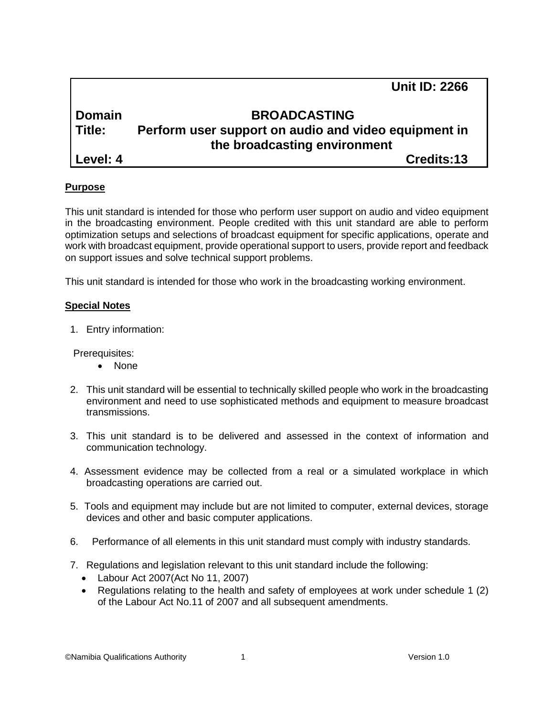|               | <b>Unit ID: 2266</b>                                 |
|---------------|------------------------------------------------------|
| <b>Domain</b> | <b>BROADCASTING</b>                                  |
| Title:        | Perform user support on audio and video equipment in |
|               | the broadcasting environment                         |
| Level: 4      | Credits:13                                           |

## **Purpose**

This unit standard is intended for those who perform user support on audio and video equipment in the broadcasting environment. People credited with this unit standard are able to perform optimization setups and selections of broadcast equipment for specific applications, operate and work with broadcast equipment, provide operational support to users, provide report and feedback on support issues and solve technical support problems.

This unit standard is intended for those who work in the broadcasting working environment.

#### **Special Notes**

1. Entry information:

Prerequisites:

- None
- 2. This unit standard will be essential to technically skilled people who work in the broadcasting environment and need to use sophisticated methods and equipment to measure broadcast transmissions.
- 3. This unit standard is to be delivered and assessed in the context of information and communication technology.
- 4. Assessment evidence may be collected from a real or a simulated workplace in which broadcasting operations are carried out.
- 5. Tools and equipment may include but are not limited to computer, external devices, storage devices and other and basic computer applications.
- 6. Performance of all elements in this unit standard must comply with industry standards.
- 7. Regulations and legislation relevant to this unit standard include the following:
	- Labour Act 2007(Act No 11, 2007)
	- Regulations relating to the health and safety of employees at work under schedule 1 (2) of the Labour Act No.11 of 2007 and all subsequent amendments.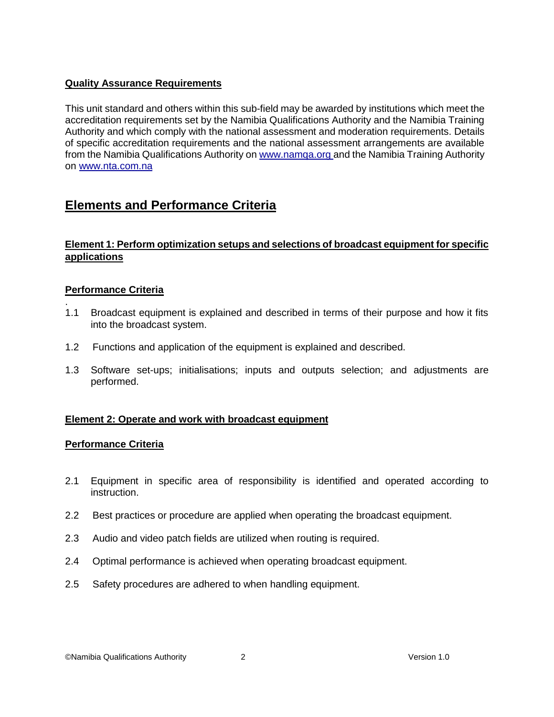### **Quality Assurance Requirements**

This unit standard and others within this sub-field may be awarded by institutions which meet the accreditation requirements set by the Namibia Qualifications Authority and the Namibia Training Authority and which comply with the national assessment and moderation requirements. Details of specific accreditation requirements and the national assessment arrangements are available from the Namibia Qualifications Authority o[n www.namqa.org a](http://www.namqa.org/)nd the Namibia Training Authority on [www.nta.com.na](http://www.nta.com.na/)

# **Elements and Performance Criteria**

## **Element 1: Perform optimization setups and selections of broadcast equipment for specific applications**

#### **Performance Criteria**

- . 1.1 Broadcast equipment is explained and described in terms of their purpose and how it fits into the broadcast system.
- 1.2 Functions and application of the equipment is explained and described.
- 1.3 Software set-ups; initialisations; inputs and outputs selection; and adjustments are performed.

#### **Element 2: Operate and work with broadcast equipment**

#### **Performance Criteria**

- 2.1 Equipment in specific area of responsibility is identified and operated according to instruction.
- 2.2 Best practices or procedure are applied when operating the broadcast equipment.
- 2.3 Audio and video patch fields are utilized when routing is required.
- 2.4 Optimal performance is achieved when operating broadcast equipment.
- 2.5 Safety procedures are adhered to when handling equipment.